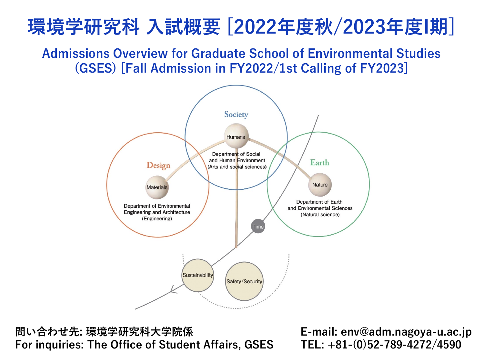# **環境学研究科 ⼊試概要 [2022年度秋/2023年度I期]**

**Admissions Overview for Graduate School of Environmental Studies (GSES) [Fall Admission in FY2022/1st Calling of FY2023]**



**問い合わせ先: 環境学研究科⼤学院係 For inquiries: The Office of Student Affairs, GSES** **E-mail: env@adm.nagoya-u.ac.jp TEL: +81-(0)52-789-4272/4590**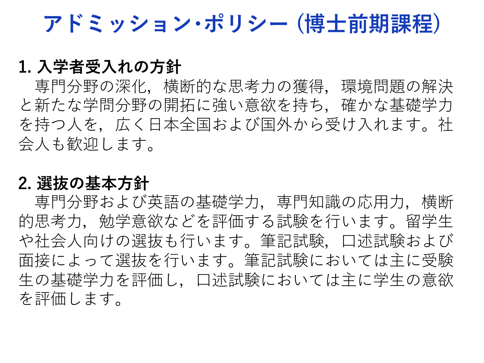**アドミッション・ポリシー (博⼠前期課程)**

#### **1. ⼊学者受⼊れの⽅針**

専門分野の深化,横断的な思考力の獲得,環境問題の解決 と新たな学問分野の開拓に強い意欲を持ち、確かな基礎学力 を持つ人を、広く日本全国および国外から受け入れます。社 会⼈も歓迎します。

#### **2. 選抜の基本⽅針**

専門分野および英語の基礎学力, 専門知識の応用力,横断 的思考力、勉学意欲などを評価する試験を行います。留学生 や社会人向けの選抜も行います。筆記試験、口述試験および 面接によって選抜を行います。筆記試験においては主に受験 生の基礎学力を評価し、口述試験においては主に学生の意欲 を評価します。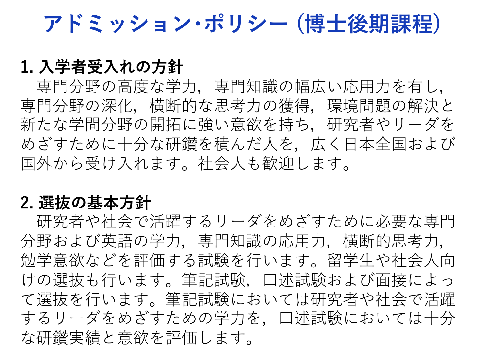**アドミッション・ポリシー (博⼠後期課程)**

#### **1. ⼊学者受⼊れの⽅針**

専門分野の高度な学力,専門知識の幅広い応用力を有し, 専門分野の深化、横断的な思考力の獲得、環境問題の解決と 新たな学問分野の開拓に強い意欲を持ち,研究者やリーダを めざすために十分な研鑽を積んだ人を、広く日本全国および 国外から受け入れます。社会人も歓迎します。

#### **2. 選抜の基本⽅針**

研究者や社会で活躍するリーダをめざすために必要な専門 分野および英語の学力、専門知識の応用力、横断的思考力, 勉学意欲などを評価する試験を⾏います。留学⽣や社会⼈向 けの選抜も行います。筆記試験,口述試験および面接によっ て選抜を⾏います。筆記試験においては研究者や社会で活躍 するリーダをめざすための学力を、口述試験においては十分 な研鑽実績と意欲を評価します。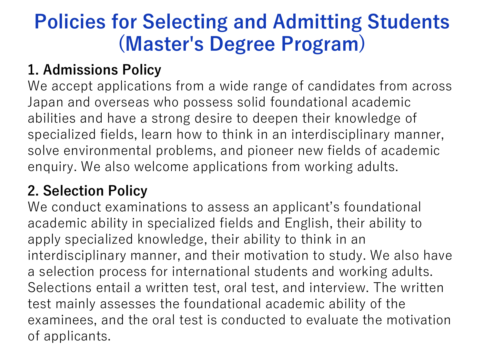# **Policies for Selecting and Admitting Students (Master's Degree Program)**

#### **1. Admissions Policy**

We accept applications from a wide range of candidates from across Japan and overseas who possess solid foundational academic abilities and have a strong desire to deepen their knowledge of specialized fields, learn how to think in an interdisciplinary manner, solve environmental problems, and pioneer new fields of academic enquiry. We also welcome applications from working adults.

### **2. Selection Policy**

We conduct examinations to assess an applicant's foundational academic ability in specialized fields and English, their ability to apply specialized knowledge, their ability to think in an interdisciplinary manner, and their motivation to study. We also have a selection process for international students and working adults. Selections entail a written test, oral test, and interview. The written test mainly assesses the foundational academic ability of the examinees, and the oral test is conducted to evaluate the motivation of applicants.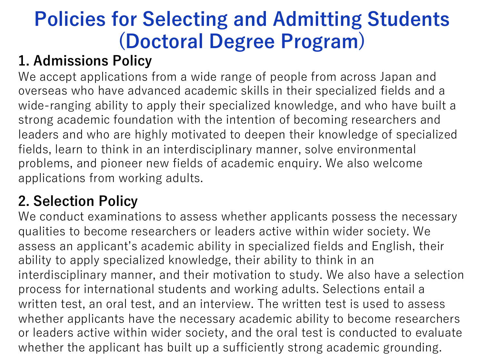# **Policies for Selecting and Admitting Students (Doctoral Degree Program)**

## **1. Admissions Policy**

We accept applications from a wide range of people from across Japan and overseas who have advanced academic skills in their specialized fields and a wide-ranging ability to apply their specialized knowledge, and who have built a strong academic foundation with the intention of becoming researchers and leaders and who are highly motivated to deepen their knowledge of specialized fields, learn to think in an interdisciplinary manner, solve environmental problems, and pioneer new fields of academic enquiry. We also welcome applications from working adults.

#### **2. Selection Policy**

We conduct examinations to assess whether applicants possess the necessary qualities to become researchers or leaders active within wider society. We assess an applicant's academic ability in specialized fields and English, their ability to apply specialized knowledge, their ability to think in an interdisciplinary manner, and their motivation to study. We also have a selection process for international students and working adults. Selections entail a written test, an oral test, and an interview. The written test is used to assess whether applicants have the necessary academic ability to become researchers or leaders active within wider society, and the oral test is conducted to evaluate whether the applicant has built up a sufficiently strong academic grounding.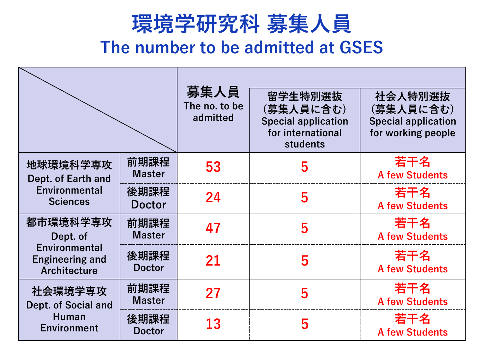# **環境学研究科 募集⼈員 The number to be admitted at GSES**

|                                                                                        |                       | 募集人員<br>The no. to be<br>admitted | 留学生特別選抜<br>(募集人員に含む)<br><b>Special application</b><br>for international<br>students | 社会人特別選抜<br>(募集人員に含む)<br><b>Special application</b><br>for working people |
|----------------------------------------------------------------------------------------|-----------------------|-----------------------------------|-------------------------------------------------------------------------------------|--------------------------------------------------------------------------|
| 地球環境科学専攻<br>Dept. of Earth and<br><b>Environmental</b><br><b>Sciences</b>              | 前期課程<br><b>Master</b> | 53                                | 5                                                                                   | 若干名<br><b>A few Students</b>                                             |
|                                                                                        | 後期課程<br><b>Doctor</b> | 24                                | 5                                                                                   | 若干名<br><b>A few Students</b>                                             |
| 都市環境科学専攻<br>Dept. of<br><b>Environmental</b><br><b>Engineering and</b><br>Architecture | 前期課程<br><b>Master</b> | 47                                | 5                                                                                   | 若干名<br><b>A few Students</b>                                             |
|                                                                                        | 後期課程<br><b>Doctor</b> | 21                                | 5                                                                                   | 若干名<br><b>A few Students</b>                                             |
| 社会環境学専攻<br>Dept. of Social and<br>Human<br><b>Environment</b>                          | 前期課程<br><b>Master</b> | 27                                | 5                                                                                   | 若干名<br><b>A few Students</b>                                             |
|                                                                                        | 後期課程<br><b>Doctor</b> | 13                                | 5                                                                                   | 若干名<br><b>A few Students</b>                                             |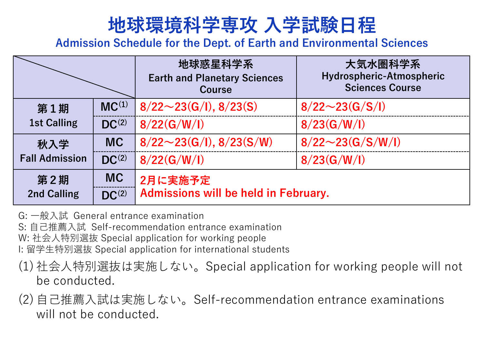## **地球環境科学専攻 ⼊学試験⽇程**

**Admission Schedule for the Dept. of Earth and Environmental Sciences**

|                              |            | 地球惑星科学系<br><b>Earth and Planetary Sciences</b><br><b>Course</b> | 大気水圏科学系<br>Hydrospheric-Atmospheric<br><b>Sciences Course</b> |  |
|------------------------------|------------|-----------------------------------------------------------------|---------------------------------------------------------------|--|
| 第1期<br><b>1st Calling</b>    | $MC^{(1)}$ | $8/22 \sim 23$ (G/I), $8/23$ (S)                                | $8/22 \sim 23(G/S/I)$                                         |  |
|                              | $DC^{(2)}$ | 8/22(G/W/I)                                                     | 8/23(G/W/I)                                                   |  |
| 秋入学<br><b>Fall Admission</b> | <b>MC</b>  | $8/22 \sim 23(G/I), 8/23(S/W)$                                  | $8/22 \sim 23(G/S/W/I)$                                       |  |
|                              | $DC^{(2)}$ | 8/22(G/W/I)                                                     | 8/23(G/W/I)                                                   |  |
| 第2期                          | <b>MC</b>  | 2月に実施予定                                                         |                                                               |  |
| <b>2nd Calling</b>           | $DC^{(2)}$ | Admissions will be held in February.                            |                                                               |  |

- G: ⼀般⼊試 General entrance examination
- S: ⾃⼰推薦⼊試 Self-recommendation entrance examination
- W: 社会人特別選抜 Special application for working people
- I: 留学⽣特別選抜 Special application for international students
- (1) 社会⼈特別選抜は実施しない。Special application for working people will not be conducted.
- (2) 自己推薦入試は実施しない。Self-recommendation entrance examinations will not be conducted.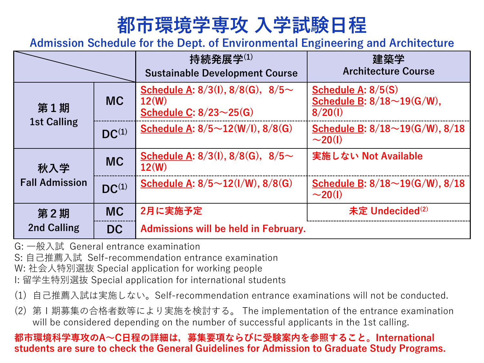## **都市環境学専攻 ⼊学試験⽇程**

**Admission Schedule for the Dept. of Environmental Engineering and Architecture**

|                              |            | 持続発展学 $^{(1)}$<br><b>Sustainable Development Course</b>                              | 建築学<br><b>Architecture Course</b>                                    |
|------------------------------|------------|--------------------------------------------------------------------------------------|----------------------------------------------------------------------|
| 第1期<br><b>1st Calling</b>    | <b>MC</b>  | Schedule A: $8/3(1)$ , $8/8(G)$ , $8/5 \sim$<br>12(W)<br>Schedule C: $8/23\sim25(G)$ | Schedule A: $8/5(S)$<br>Schedule B: $8/18 \sim 19(G/W)$ ,<br>8/20(1) |
|                              | $DC^{(1)}$ | Schedule A: $8/5 \sim 12(W/l)$ , $8/8(G)$                                            | Schedule B: $8/18 \sim 19(G/W)$ , $8/18$<br>$\sim$ 20(1)             |
| 秋入学<br><b>Fall Admission</b> | <b>MC</b>  | Schedule A: $8/3(1)$ , $8/8(G)$ , $8/5 \sim$<br>12(W)                                | 実施しない Not Available                                                  |
|                              | $DC^{(1)}$ | Schedule A: $8/5 \sim 12(1/W)$ , $8/8(G)$                                            | Schedule B: $8/18 \sim 19(G/W)$ , $8/18$<br>$\sim$ 20(1)             |
| 第2期<br><b>2nd Calling</b>    | <b>MC</b>  | 2月に実施予定                                                                              | 未定 Undecided <sup>(2)</sup>                                          |
|                              | <b>DC</b>  | <b>Admissions will be held in February.</b>                                          |                                                                      |

G: ⼀般⼊試 General entrance examination

S: ⾃⼰推薦⼊試 Self-recommendation entrance examination

W: 社会人特別選抜 Special application for working people

I: 留学⽣特別選抜 Special application for international students

- (1) ⾃⼰推薦⼊試は実施しない。Self-recommendation entrance examinations will not be conducted.
- (2) 第Ⅰ期募集の合格者数等により実施を検討する。 The implementation of the entrance examination will be considered depending on the number of successful applicants in the 1st calling.

#### **都市環境科学専攻のA〜C⽇程の詳細は,募集要項ならびに受験案内を参照すること。International students are sure to check the General Guidelines for Admission to Graduate Study Programs.**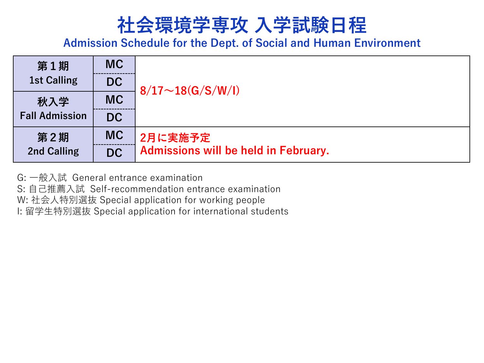## **社会環境学専攻 ⼊学試験⽇程**

**Admission Schedule for the Dept. of Social and Human Environment**

| 第1期                   | <b>MC</b> |                                             |  |
|-----------------------|-----------|---------------------------------------------|--|
| <b>1st Calling</b>    | <b>DC</b> | $8/17 \sim 18(G/S/W/I)$                     |  |
| 秋入学                   | <b>MC</b> |                                             |  |
| <b>Fall Admission</b> | <b>DC</b> |                                             |  |
| 第2期                   | <b>MC</b> | 2月に実施予定                                     |  |
| <b>2nd Calling</b>    | <b>DC</b> | <b>Admissions will be held in February.</b> |  |

G: ⼀般⼊試 General entrance examination

S: ⾃⼰推薦⼊試 Self-recommendation entrance examination

W: 社会人特別選抜 Special application for working people

I: 留学⽣特別選抜 Special application for international students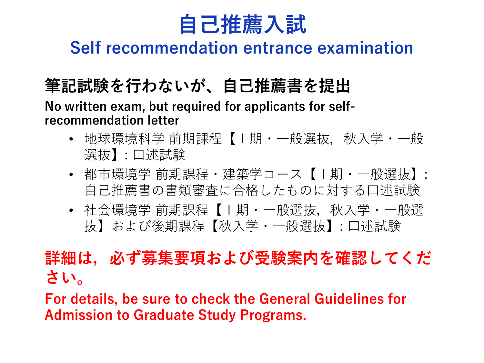

### **Self recommendation entrance examination**

## **筆記試験を⾏わないが、⾃⼰推薦書を提出**

**No written exam, but required for applicants for selfrecommendation letter**

- 地球環境科学 前期課程【Ⅰ期・一般選抜,秋入学・一般 選抜】: ⼝述試験
- 都市環境学 前期課程・建築学コース【Ⅰ期・一般選抜】: 自己推薦書の書類審査に合格したものに対する口述試験
- 社会環境学 前期課程【Ⅰ期・一般選抜,秋入学・一般選 抜】および後期課程【秋入学・一般選抜】: 口述試験

## **詳細は,必ず募集要項および受験案内を確認してくだ さい。**

**For details, be sure to check the General Guidelines for Admission to Graduate Study Programs.**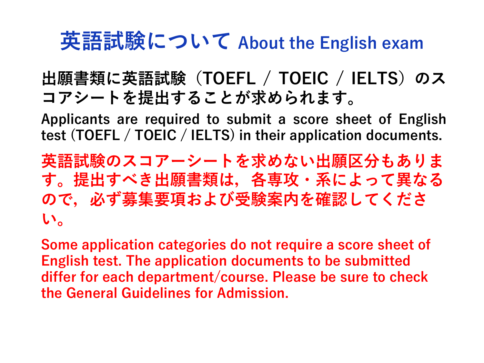# **英語試験について About the English exam**

## **出願書類に英語試験(TOEFL / TOEIC / IELTS)のス コアシートを提出することが求められます。**

**Applicants are required to submit a score sheet of English test (TOEFL / TOEIC / IELTS) in their application documents.**

**英語試験のスコアーシートを求めない出願区分もありま す。提出すべき出願書類は,各専攻・系によって異なる ので,必ず募集要項および受験案内を確認してくださ い。**

**Some application categories do not require a score sheet of English test. The application documents to be submitted differ for each department/course. Please be sure to check the General Guidelines for Admission.**